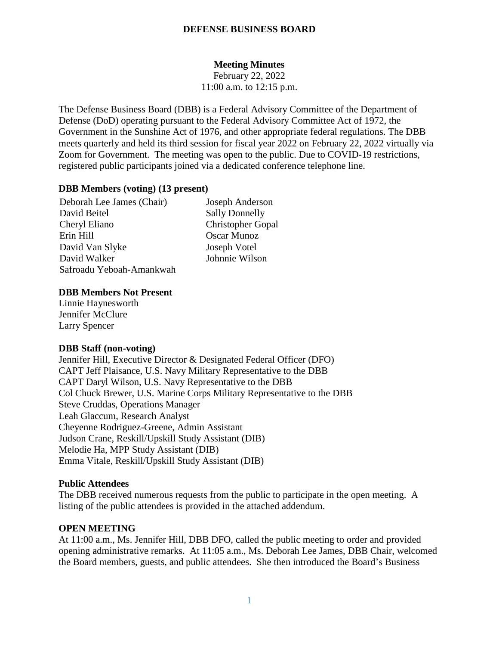## **DEFENSE BUSINESS BOARD**

# **Meeting Minutes**

February 22, 2022 11:00 a.m. to 12:15 p.m.

The Defense Business Board (DBB) is a Federal Advisory Committee of the Department of Defense (DoD) operating pursuant to the Federal Advisory Committee Act of 1972, the Government in the Sunshine Act of 1976, and other appropriate federal regulations. The DBB meets quarterly and held its third session for fiscal year 2022 on February 22, 2022 virtually via Zoom for Government. The meeting was open to the public. Due to COVID-19 restrictions, registered public participants joined via a dedicated conference telephone line.

### **DBB Members (voting) (13 present)**

Deborah Lee James (Chair) Joseph Anderson David Beitel Sally Donnelly Cheryl Eliano Christopher Gopal Erin Hill Oscar Munoz David Van Slyke Joseph Votel David Walker Johnnie Wilson Safroadu Yeboah-Amankwah

#### **DBB Members Not Present**

Linnie Haynesworth Jennifer McClure Larry Spencer

#### **DBB Staff (non-voting)**

Jennifer Hill, Executive Director & Designated Federal Officer (DFO) CAPT Jeff Plaisance, U.S. Navy Military Representative to the DBB CAPT Daryl Wilson, U.S. Navy Representative to the DBB Col Chuck Brewer, U.S. Marine Corps Military Representative to the DBB Steve Cruddas, Operations Manager Leah Glaccum, Research Analyst Cheyenne Rodriguez-Greene, Admin Assistant Judson Crane, Reskill/Upskill Study Assistant (DIB) Melodie Ha, MPP Study Assistant (DIB) Emma Vitale, Reskill/Upskill Study Assistant (DIB)

### **Public Attendees**

The DBB received numerous requests from the public to participate in the open meeting. A listing of the public attendees is provided in the attached addendum.

#### **OPEN MEETING**

At 11:00 a.m., Ms. Jennifer Hill, DBB DFO, called the public meeting to order and provided opening administrative remarks. At 11:05 a.m., Ms. Deborah Lee James, DBB Chair, welcomed the Board members, guests, and public attendees. She then introduced the Board's Business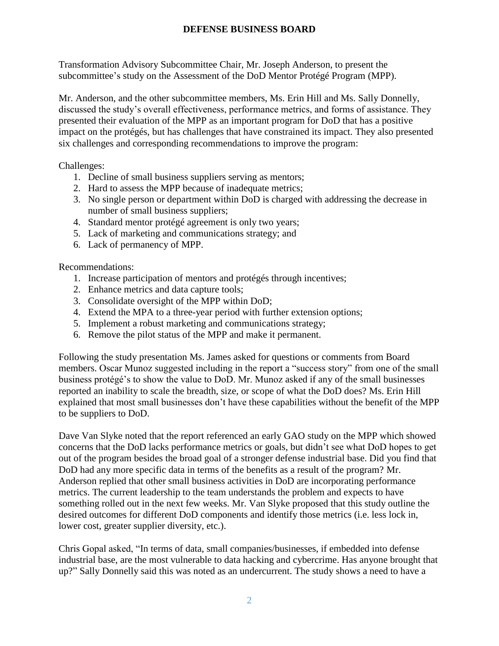## **DEFENSE BUSINESS BOARD**

Transformation Advisory Subcommittee Chair, Mr. Joseph Anderson, to present the subcommittee's study on the Assessment of the DoD Mentor Protégé Program (MPP).

Mr. Anderson, and the other subcommittee members, Ms. Erin Hill and Ms. Sally Donnelly, discussed the study's overall effectiveness, performance metrics, and forms of assistance. They presented their evaluation of the MPP as an important program for DoD that has a positive impact on the protégés, but has challenges that have constrained its impact. They also presented six challenges and corresponding recommendations to improve the program:

Challenges:

- 1. Decline of small business suppliers serving as mentors;
- 2. Hard to assess the MPP because of inadequate metrics;
- 3. No single person or department within DoD is charged with addressing the decrease in number of small business suppliers;
- 4. Standard mentor protégé agreement is only two years;
- 5. Lack of marketing and communications strategy; and
- 6. Lack of permanency of MPP.

Recommendations:

- 1. Increase participation of mentors and protégés through incentives;
- 2. Enhance metrics and data capture tools;
- 3. Consolidate oversight of the MPP within DoD;
- 4. Extend the MPA to a three-year period with further extension options;
- 5. Implement a robust marketing and communications strategy;
- 6. Remove the pilot status of the MPP and make it permanent.

Following the study presentation Ms. James asked for questions or comments from Board members. Oscar Munoz suggested including in the report a "success story" from one of the small business protégé's to show the value to DoD. Mr. Munoz asked if any of the small businesses reported an inability to scale the breadth, size, or scope of what the DoD does? Ms. Erin Hill explained that most small businesses don't have these capabilities without the benefit of the MPP to be suppliers to DoD.

Dave Van Slyke noted that the report referenced an early GAO study on the MPP which showed concerns that the DoD lacks performance metrics or goals, but didn't see what DoD hopes to get out of the program besides the broad goal of a stronger defense industrial base. Did you find that DoD had any more specific data in terms of the benefits as a result of the program? Mr. Anderson replied that other small business activities in DoD are incorporating performance metrics. The current leadership to the team understands the problem and expects to have something rolled out in the next few weeks. Mr. Van Slyke proposed that this study outline the desired outcomes for different DoD components and identify those metrics (i.e. less lock in, lower cost, greater supplier diversity, etc.).

Chris Gopal asked, "In terms of data, small companies/businesses, if embedded into defense industrial base, are the most vulnerable to data hacking and cybercrime. Has anyone brought that up?" Sally Donnelly said this was noted as an undercurrent. The study shows a need to have a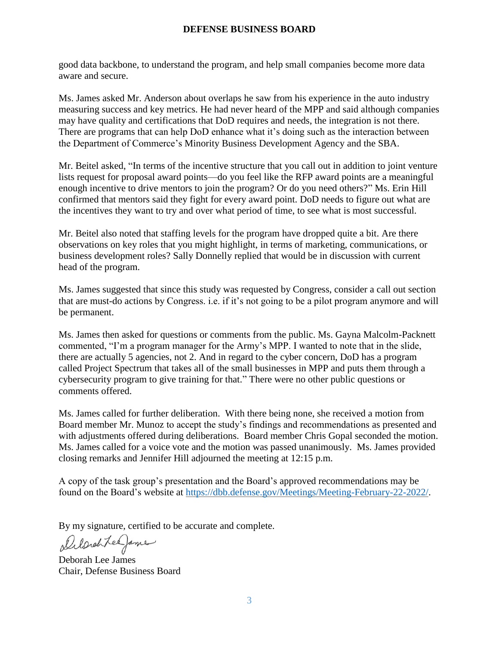## **DEFENSE BUSINESS BOARD**

good data backbone, to understand the program, and help small companies become more data aware and secure.

Ms. James asked Mr. Anderson about overlaps he saw from his experience in the auto industry measuring success and key metrics. He had never heard of the MPP and said although companies may have quality and certifications that DoD requires and needs, the integration is not there. There are programs that can help DoD enhance what it's doing such as the interaction between the Department of Commerce's Minority Business Development Agency and the SBA.

Mr. Beitel asked, "In terms of the incentive structure that you call out in addition to joint venture lists request for proposal award points—do you feel like the RFP award points are a meaningful enough incentive to drive mentors to join the program? Or do you need others?" Ms. Erin Hill confirmed that mentors said they fight for every award point. DoD needs to figure out what are the incentives they want to try and over what period of time, to see what is most successful.

Mr. Beitel also noted that staffing levels for the program have dropped quite a bit. Are there observations on key roles that you might highlight, in terms of marketing, communications, or business development roles? Sally Donnelly replied that would be in discussion with current head of the program.

Ms. James suggested that since this study was requested by Congress, consider a call out section that are must-do actions by Congress. i.e. if it's not going to be a pilot program anymore and will be permanent.

Ms. James then asked for questions or comments from the public. Ms. Gayna Malcolm-Packnett commented, "I'm a program manager for the Army's MPP. I wanted to note that in the slide, there are actually 5 agencies, not 2. And in regard to the cyber concern, DoD has a program called Project Spectrum that takes all of the small businesses in MPP and puts them through a cybersecurity program to give training for that." There were no other public questions or comments offered.

Ms. James called for further deliberation. With there being none, she received a motion from Board member Mr. Munoz to accept the study's findings and recommendations as presented and with adjustments offered during deliberations. Board member Chris Gopal seconded the motion. Ms. James called for a voice vote and the motion was passed unanimously. Ms. James provided closing remarks and Jennifer Hill adjourned the meeting at 12:15 p.m.

A copy of the task group's presentation and the Board's approved recommendations may be found on the Board's website at [https://dbb.defense.gov/Meetings/Meeting-February-22-2022/.](https://dbb.defense.gov/Meetings/Meeting-February-22-2022/)

By my signature, certified to be accurate and complete.

Delarchtee James

Deborah Lee James Chair, Defense Business Board